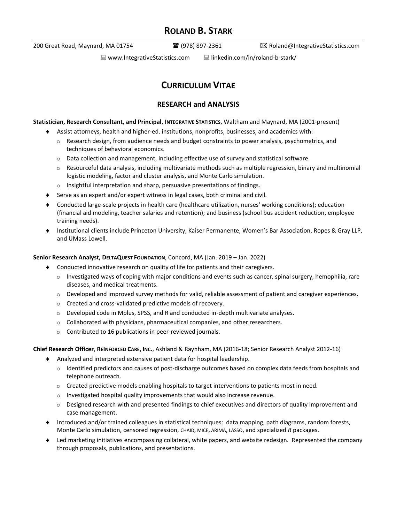# **ROLAND B. STARK**

200 Great Road, Maynard, MA 01754 (978) 897-2361 Roland@IntegrativeStatistics.com

 $\Box$  www.IntegrativeStatistics.com  $\Box$  linkedin.com/in/roland-b-stark/

# **CURRICULUM VITAE**

# **RESEARCH and ANALYSIS**

**Statistician, Research Consultant, and Principal**, **INTEGRATIVE STATISTICS**, Waltham and Maynard, MA (2001-present)

- Assist attorneys, health and higher-ed. institutions, nonprofits, businesses, and academics with:
	- $\circ$  Research design, from audience needs and budget constraints to power analysis, psychometrics, and techniques of behavioral economics.
	- $\circ$  Data collection and management, including effective use of survey and statistical software.
	- $\circ$  Resourceful data analysis, including multivariate methods such as multiple regression, binary and multinomial logistic modeling, factor and cluster analysis, and Monte Carlo simulation.
	- o Insightful interpretation and sharp, persuasive presentations of findings.
- Serve as an expert and/or expert witness in legal cases, both criminal and civil.
- Conducted large-scale projects in health care (healthcare utilization, nurses' working conditions); education (financial aid modeling, teacher salaries and retention); and business (school bus accident reduction, employee training needs).
- Institutional clients include Princeton University, Kaiser Permanente, Women's Bar Association, Ropes & Gray LLP, and UMass Lowell.

# **Senior Research Analyst, DELTAQUEST FOUNDATION**, Concord, MA (Jan. 2019 – Jan. 2022)

- Conducted innovative research on quality of life for patients and their caregivers.
	- $\circ$  Investigated ways of coping with major conditions and events such as cancer, spinal surgery, hemophilia, rare diseases, and medical treatments.
	- o Developed and improved survey methods for valid, reliable assessment of patient and caregiver experiences.
	- o Created and cross-validated predictive models of recovery.
	- $\circ$  Developed code in Mplus, SPSS, and R and conducted in-depth multivariate analyses.
	- $\circ$  Collaborated with physicians, pharmaceutical companies, and other researchers.
	- o Contributed to 16 publications in peer-reviewed journals.

## **Chief Research Officer**, **REINFORCED CARE, INC.**, Ashland & Raynham, MA (2016-18; Senior Research Analyst 2012-16)

- Analyzed and interpreted extensive patient data for hospital leadership.
	- $\circ$  Identified predictors and causes of post-discharge outcomes based on complex data feeds from hospitals and telephone outreach.
	- $\circ$  Created predictive models enabling hospitals to target interventions to patients most in need.
	- o Investigated hospital quality improvements that would also increase revenue.
	- $\circ$  Designed research with and presented findings to chief executives and directors of quality improvement and case management.
- Introduced and/or trained colleagues in statistical techniques: data mapping, path diagrams, random forests, Monte Carlo simulation, censored regression, CHAID, MICE, ARIMA, LASSO, and specialized *R* packages.
- Led marketing initiatives encompassing collateral, white papers, and website redesign. Represented the company through proposals, publications, and presentations.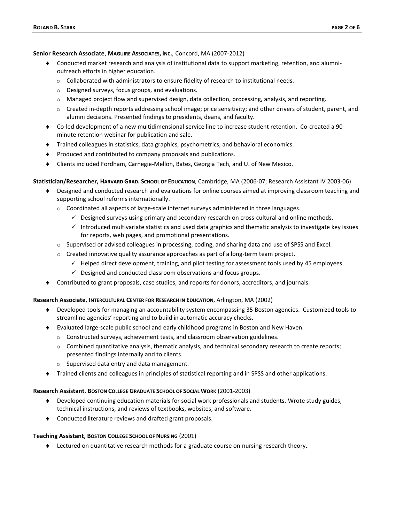#### **Senior Research Associate**, **MAGUIRE ASSOCIATES, INC.**, Concord, MA (2007-2012)

- Conducted market research and analysis of institutional data to support marketing, retention, and alumnioutreach efforts in higher education.
	- $\circ$  Collaborated with administrators to ensure fidelity of research to institutional needs.
	- o Designed surveys, focus groups, and evaluations.
	- $\circ$  Managed project flow and supervised design, data collection, processing, analysis, and reporting.
	- o Created in-depth reports addressing school image; price sensitivity; and other drivers of student, parent, and alumni decisions. Presented findings to presidents, deans, and faculty.
- Co-led development of a new multidimensional service line to increase student retention. Co-created a 90 minute retention webinar for publication and sale.
- Trained colleagues in statistics, data graphics, psychometrics, and behavioral economics.
- Produced and contributed to company proposals and publications.
- Clients included Fordham, Carnegie-Mellon, Bates, Georgia Tech, and U. of New Mexico.

#### **Statistician/Researcher, HARVARD GRAD. SCHOOL OF EDUCATION**, Cambridge, MA (2006-07; Research Assistant IV 2003-06)

- Designed and conducted research and evaluations for online courses aimed at improving classroom teaching and supporting school reforms internationally.
	- $\circ$  Coordinated all aspects of large-scale internet surveys administered in three languages.
		- $\checkmark$  Designed surveys using primary and secondary research on cross-cultural and online methods.
		- ✓ Introduced multivariate statistics and used data graphics and thematic analysis to investigate key issues for reports, web pages, and promotional presentations.
	- $\circ$  Supervised or advised colleagues in processing, coding, and sharing data and use of SPSS and Excel.
	- $\circ$  Created innovative quality assurance approaches as part of a long-term team project.
		- ✓ Helped direct development, training, and pilot testing for assessment tools used by 45 employees.
		- ✓ Designed and conducted classroom observations and focus groups.
- Contributed to grant proposals, case studies, and reports for donors, accreditors, and journals.

#### **Research Associate**, **INTERCULTURAL CENTER FOR RESEARCH IN EDUCATION**, Arlington, MA (2002)

- Developed tools for managing an accountability system encompassing 35 Boston agencies. Customized tools to streamline agencies' reporting and to build in automatic accuracy checks.
- Evaluated large-scale public school and early childhood programs in Boston and New Haven.
	- o Constructed surveys, achievement tests, and classroom observation guidelines.
	- o Combined quantitative analysis, thematic analysis, and technical secondary research to create reports; presented findings internally and to clients.
	- o Supervised data entry and data management.
- Trained clients and colleagues in principles of statistical reporting and in SPSS and other applications.

#### **Research Assistant**, **BOSTON COLLEGE GRADUATE SCHOOL OF SOCIAL WORK** (2001-2003)

- Developed continuing education materials for social work professionals and students. Wrote study guides, technical instructions, and reviews of textbooks, websites, and software.
- Conducted literature reviews and drafted grant proposals.

#### **Teaching Assistant**, **BOSTON COLLEGE SCHOOL OF NURSING** (2001)

Lectured on quantitative research methods for a graduate course on nursing research theory.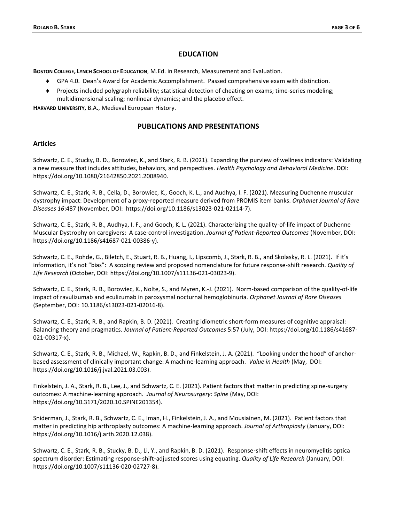## **EDUCATION**

**BOSTON COLLEGE, LYNCH SCHOOL OF EDUCATION**, M.Ed. in Research, Measurement and Evaluation.

- GPA 4.0. Dean's Award for Academic Accomplishment. Passed comprehensive exam with distinction.
- Projects included polygraph reliability; statistical detection of cheating on exams; time-series modeling; multidimensional scaling; nonlinear dynamics; and the placebo effect.

**HARVARD UNIVERSITY**, B.A., Medieval European History.

# **PUBLICATIONS AND PRESENTATIONS**

## **Articles**

Schwartz, C. E., Stucky, B. D., Borowiec, K., and Stark, R. B. (2021). Expanding the purview of wellness indicators: Validating a new measure that includes attitudes, behaviors, and perspectives. *Health Psychology and Behavioral Medicine*. DOI: https://doi.org/10.1080/21642850.2021.2008940.

Schwartz, C. E., Stark, R. B., Cella, D., Borowiec, K., Gooch, K. L., and Audhya, I. F. (2021). Measuring Duchenne muscular dystrophy impact: Development of a proxy‑reported measure derived from PROMIS item banks. *Orphanet Journal of Rare Diseases 16*:487 (November, DOI: https://doi.org/10.1186/s13023-021-02114-7).

Schwartz, C. E., Stark, R. B., Audhya, I. F., and Gooch, K. L. (2021). Characterizing the quality-of-life impact of Duchenne Muscular Dystrophy on caregivers: A case-control investigation. *Journal of Patient-Reported Outcomes* (November, DOI: https://doi.org/10.1186/s41687-021-00386-y).

Schwartz, C. E., Rohde, G., Biletch, E., Stuart, R. B., Huang, I., Lipscomb, J., Stark, R. B., and Skolasky, R. L. (2021). If it's information, it's not "bias": A scoping review and proposed nomenclature for future response‑shift research. *Quality of Life Research* (October, DOI: https://doi.org/10.1007/s11136-021-03023-9).

Schwartz, C. E., Stark, R. B., Borowiec, K., Nolte, S., and Myren, K.-J. (2021). Norm-based comparison of the quality-of-life impact of ravulizumab and eculizumab in paroxysmal nocturnal hemoglobinuria. *Orphanet Journal of Rare Diseases* (September, DOI: 10.1186/s13023-021-02016-8).

Schwartz, C. E., Stark, R. B., and Rapkin, B. D. (2021). Creating idiometric short-form measures of cognitive appraisal: Balancing theory and pragmatics. *Journal of Patient-Reported Outcomes* 5:57 (July, DOI: https://doi.org/10.1186/s41687- 021-00317-x).

Schwartz, C. E., Stark, R. B., Michael, W., Rapkin, B. D., and Finkelstein, J. A. (2021). "Looking under the hood" of anchorbased assessment of clinically important change: A machine-learning approach. *Value in Health* (May, DOI: https://doi.org/10.1016/j.jval.2021.03.003).

Finkelstein, J. A., Stark, R. B., Lee, J., and Schwartz, C. E. (2021). Patient factors that matter in predicting spine-surgery outcomes: A machine-learning approach. *Journal of Neurosurgery: Spine* (May, DOI: https://doi.org/10.3171/2020.10.SPINE201354).

Sniderman, J., Stark, R. B., Schwartz, C. E., Iman, H., Finkelstein, J. A., and Mousiainen, M. (2021). Patient factors that matter in predicting hip arthroplasty outcomes: A machine-learning approach. *Journal of Arthroplasty* (January, DOI: https://doi.org/10.1016/j.arth.2020.12.038).

Schwartz, C. E., Stark, R. B., Stucky, B. D., Li, Y., and Rapkin, B. D. (2021). Response‑shift effects in neuromyelitis optica spectrum disorder: Estimating response-shift-adjusted scores using equating. *Quality of Life Research* (January, DOI: https://doi.org/10.1007/s11136-020-02727-8).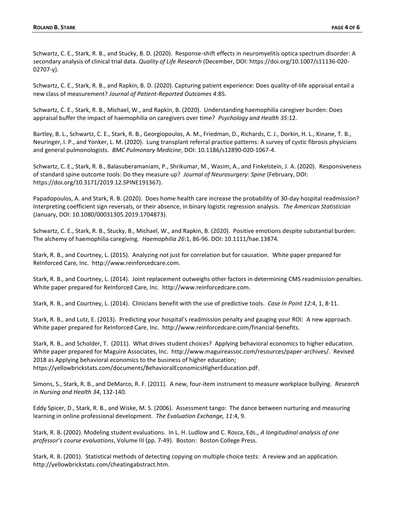Schwartz, C. E., Stark, R. B., and Stucky, B. D. (2020). Response‑shift effects in neuromyelitis optica spectrum disorder: A secondary analysis of clinical trial data. *Quality of Life Research* (December, DOI: https://doi.org/10.1007/s11136-020- 02707-y).

Schwartz, C. E., Stark, R. B., and Rapkin, B. D. (2020). Capturing patient experience: Does quality-of-life appraisal entail a new class of measurement? *Journal of Patient-Reported Outcomes 4*:85.

Schwartz, C. E., Stark, R. B., Michael, W., and Rapkin, B. (2020). Understanding haemophilia caregiver burden: Does appraisal buffer the impact of haemophilia on caregivers over time? *Psychology and Health 35*:12.

Bartley, B. L., Schwartz, C. E., Stark, R. B., Georgiopoulos, A. M., Friedman, D., Richards, C. J., Dorkin, H. L., Kinane, T. B., Neuringer, I. P., and Yonker, L. M. (2020). Lung transplant referral practice patterns: A survey of cystic fibrosis physicians and general pulmonologists. *BMC Pulmonary Medicine*, DOI: 10.1186/s12890-020-1067-4.

Schwartz, C. E., Stark, R. B., Balasuberamaniam, P., Shrikumar, M., Wasim, A., and Finkelstein, J. A. (2020). Responsiveness of standard spine outcome tools: Do they measure up? *Journal of Neurosurgery: Spine* (February, DOI: https://doi.org/10.3171/2019.12.SPINE191367).

Papadopoulos, A. and Stark, R. B. (2020). Does home health care increase the probability of 30-day hospital readmission? Interpreting coefficient sign reversals, or their absence, in binary logistic regression analysis. *The American Statistician* (January, DOI: 10.1080/00031305.2019.1704873).

Schwartz, C. E., Stark, R. B., Stucky, B., Michael, W., and Rapkin, B. (2020). Positive emotions despite substantial burden: The alchemy of haemophilia caregiving. *Haemophilia 26*:1, 86-96. DOI: 10.1111/hae.13874.

Stark, R. B., and Courtney, L. (2015). Analyzing not just for correlation but for causation. White paper prepared for ReInforced Care, Inc. http://www.reinforcedcare.com.

Stark, R. B., and Courtney, L. (2014). Joint replacement outweighs other factors in determining CMS readmission penalties. White paper prepared for ReInforced Care, Inc. http://www.reinforcedcare.com.

Stark, R. B., and Courtney, L. (2014). Clinicians benefit with the use of predictive tools. *Case In Point 12*:4, 1, 8-11.

Stark, R. B., and Lutz, E. (2013). Predicting your hospital's readmission penalty and gauging your ROI: A new approach. White paper prepared for ReInforced Care, Inc. http://www.reinforcedcare.com/financial-benefits.

Stark, R. B., and Scholder, T. (2011). What drives student choices? Applying behavioral economics to higher education. White paper prepared for Maguire Associates, Inc. http://www.maguireassoc.com/resources/paper-archives/. Revised 2018 as Applying behavioral economics to the business of higher education; https://yellowbrickstats.com/documents/BehavioralEconomicsHigherEducation.pdf.

Simons, S., Stark, R. B., and DeMarco, R. F. (2011). A new, four-item instrument to measure workplace bullying. *Research* 

*in Nursing and Health 34*, 132-140.

Eddy Spicer, D., Stark, R. B., and Wiske, M. S. (2006). Assessment tango: The dance between nurturing and measuring learning in online professional development. *The Evaluation Exchange, 11*:4, 9.

Stark, R. B. (2002). Modeling student evaluations. In L. H. Ludlow and C. Rosca, Eds., *A longitudinal analysis of one professor's course evaluations*, Volume III (pp. 7-49). Boston: Boston College Press.

Stark, R. B. (2001). Statistical methods of detecting copying on multiple choice tests: A review and an application. http://yellowbrickstats.com/cheatingabstract.htm.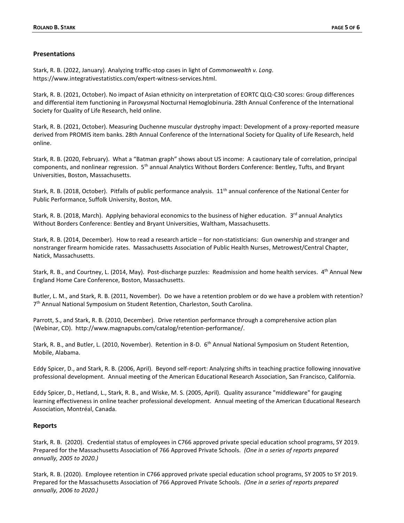#### **Presentations**

Stark, R. B. (2022, January). Analyzing traffic-stop cases in light of *Commonwealth v. Long*. https://www.integrativestatistics.com/expert-witness-services.html.

Stark, R. B. (2021, October). No impact of Asian ethnicity on interpretation of EORTC QLQ-C30 scores: Group differences and differential item functioning in Paroxysmal Nocturnal Hemoglobinuria. 28th Annual Conference of the International Society for Quality of Life Research, held online.

Stark, R. B. (2021, October). Measuring Duchenne muscular dystrophy impact: Development of a proxy-reported measure derived from PROMIS item banks. 28th Annual Conference of the International Society for Quality of Life Research, held online.

Stark, R. B. (2020, February). What a "Batman graph" shows about US income: A cautionary tale of correlation, principal components, and nonlinear regression. 5<sup>th</sup> annual Analytics Without Borders Conference: Bentley, Tufts, and Bryant Universities, Boston, Massachusetts.

Stark, R. B. (2018, October). Pitfalls of public performance analysis.  $11<sup>th</sup>$  annual conference of the National Center for Public Performance, Suffolk University, Boston, MA.

Stark, R. B. (2018, March). Applying behavioral economics to the business of higher education. 3<sup>rd</sup> annual Analytics Without Borders Conference: Bentley and Bryant Universities, Waltham, Massachusetts.

Stark, R. B. (2014, December). How to read a research article – for non-statisticians: Gun ownership and stranger and nonstranger firearm homicide rates. Massachusetts Association of Public Health Nurses, Metrowest/Central Chapter, Natick, Massachusetts.

Stark, R. B., and Courtney, L. (2014, May). Post-discharge puzzles: Readmission and home health services. 4<sup>th</sup> Annual New England Home Care Conference, Boston, Massachusetts.

Butler, L. M., and Stark, R. B. (2011, November). Do we have a retention problem or do we have a problem with retention? 7<sup>th</sup> Annual National Symposium on Student Retention, Charleston, South Carolina.

Parrott, S., and Stark, R. B. (2010, December). Drive retention performance through a comprehensive action plan (Webinar, CD). http://www.magnapubs.com/catalog/retention-performance/.

Stark, R. B., and Butler, L. (2010, November). Retention in 8-D. 6<sup>th</sup> Annual National Symposium on Student Retention, Mobile, Alabama.

Eddy Spicer, D., and Stark, R. B. (2006, April). Beyond self-report: Analyzing shifts in teaching practice following innovative professional development. Annual meeting of the American Educational Research Association, San Francisco, California.

Eddy Spicer, D., Hetland, L., Stark, R. B., and Wiske, M. S. (2005, April). Quality assurance "middleware" for gauging learning effectiveness in online teacher professional development. Annual meeting of the American Educational Research Association, Montréal, Canada.

## **Reports**

Stark, R. B. (2020). Credential status of employees in C766 approved private special education school programs, SY 2019. Prepared for the Massachusetts Association of 766 Approved Private Schools. *(One in a series of reports prepared annually, 2005 to 2020.)*

Stark, R. B. (2020). Employee retention in C766 approved private special education school programs, SY 2005 to SY 2019. Prepared for the Massachusetts Association of 766 Approved Private Schools. *(One in a series of reports prepared annually, 2006 to 2020.)*